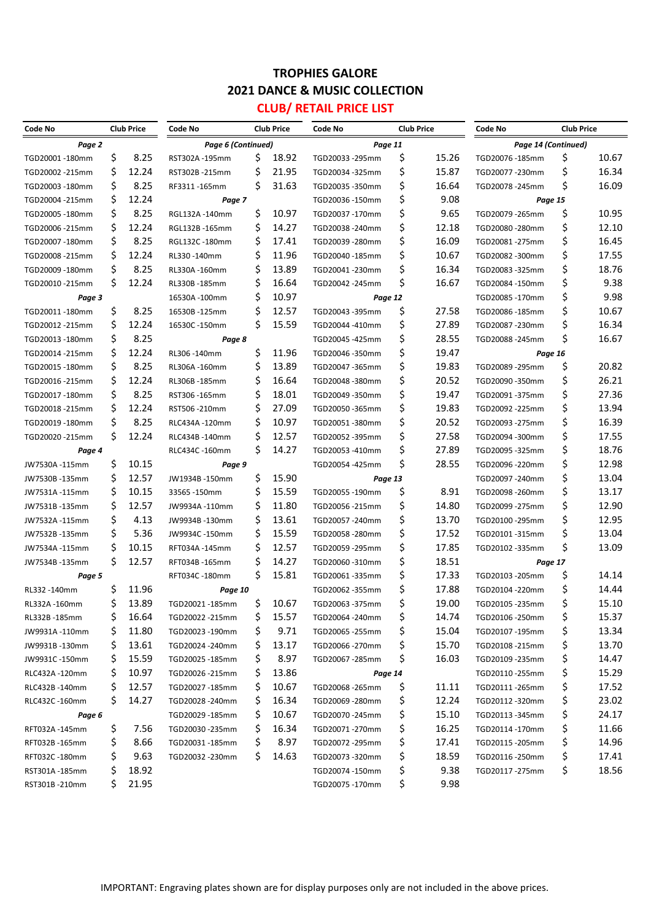## **TROPHIES GALORE 2021 DANCE & MUSIC COLLECTION CLUB/ RETAIL PRICE LIST**

| Code No         |     | <b>Club Price</b> | Code No            |    | <b>Club Price</b> | Code No                          |    | <b>Club Price</b> | Code No             | <b>Club Price</b> |       |
|-----------------|-----|-------------------|--------------------|----|-------------------|----------------------------------|----|-------------------|---------------------|-------------------|-------|
|                 |     |                   |                    |    |                   |                                  |    |                   |                     |                   |       |
| Page 2          | \$  | 8.25              | Page 6 (Continued) | \$ | 18.92             | Page 11                          | \$ | 15.26             | Page 14 (Continued) |                   | 10.67 |
| TGD20001-180mm  | \$  | 12.24             | RST302A-195mm      | \$ | 21.95             | TGD20033-295mm<br>TGD20034-325mm | \$ | 15.87             | TGD20076-185mm      | \$<br>\$          | 16.34 |
| TGD20002 -215mm | \$  | 8.25              | RST302B-215mm      | \$ | 31.63             |                                  | \$ | 16.64             | TGD20077-230mm      | \$                | 16.09 |
| TGD20003-180mm  |     |                   | RF3311-165mm       |    |                   | TGD20035-350mm                   |    |                   | TGD20078-245mm      |                   |       |
| TGD20004 -215mm | \$  | 12.24             | Page 7             |    |                   | TGD20036-150mm                   | \$ | 9.08              |                     | Page 15           |       |
| TGD20005 -180mm | \$  | 8.25              | RGL132A-140mm      | \$ | 10.97             | TGD20037-170mm                   | \$ | 9.65              | TGD20079-265mm      | \$                | 10.95 |
| TGD20006-215mm  | \$  | 12.24             | RGL132B-165mm      | \$ | 14.27             | TGD20038-240mm                   | \$ | 12.18             | TGD20080-280mm      | \$                | 12.10 |
| TGD20007-180mm  | Ś   | 8.25              | RGL132C-180mm      | \$ | 17.41             | TGD20039-280mm                   | \$ | 16.09             | TGD20081-275mm      | \$                | 16.45 |
| TGD20008-215mm  | Ś   | 12.24             | RL330-140mm        | \$ | 11.96             | TGD20040-185mm                   | \$ | 10.67             | TGD20082 -300mm     | \$                | 17.55 |
| TGD20009-180mm  | Ś   | 8.25              | RL330A-160mm       | \$ | 13.89             | TGD20041-230mm                   | \$ | 16.34             | TGD20083-325mm      | \$                | 18.76 |
| TGD20010-215mm  | Ś   | 12.24             | RL330B-185mm       | \$ | 16.64             | TGD20042 -245mm                  | \$ | 16.67             | TGD20084-150mm      | \$                | 9.38  |
| Page 3          |     |                   | 16530A-100mm       | \$ | 10.97             | Page 12                          |    |                   | TGD20085-170mm      | \$                | 9.98  |
| TGD20011-180mm  | \$  | 8.25              | 16530B -125mm      | \$ | 12.57             | TGD20043-395mm                   | \$ | 27.58             | TGD20086-185mm      | \$                | 10.67 |
| TGD20012 -215mm | \$  | 12.24             | 16530C -150mm      | \$ | 15.59             | TGD20044-410mm                   | \$ | 27.89             | TGD20087-230mm      | \$                | 16.34 |
| TGD20013 -180mm | \$  | 8.25              | Page 8             |    |                   | TGD20045-425mm                   | \$ | 28.55             | TGD20088-245mm      | \$                | 16.67 |
| TGD20014 -215mm | \$  | 12.24             | RL306-140mm        | \$ | 11.96             | TGD20046-350mm                   | \$ | 19.47             |                     | Page 16           |       |
| TGD20015 -180mm | \$  | 8.25              | RL306A-160mm       | \$ | 13.89             | TGD20047-365mm                   | \$ | 19.83             | TGD20089-295mm      | \$                | 20.82 |
| TGD20016-215mm  | \$  | 12.24             | RL306B-185mm       | \$ | 16.64             | TGD20048-380mm                   | \$ | 20.52             | TGD20090-350mm      | \$                | 26.21 |
| TGD20017-180mm  | Ś   | 8.25              | RST306 -165mm      | \$ | 18.01             | TGD20049-350mm                   | \$ | 19.47             | TGD20091-375mm      | \$                | 27.36 |
| TGD20018-215mm  | \$  | 12.24             | RST506-210mm       | \$ | 27.09             | TGD20050-365mm                   | \$ | 19.83             | TGD20092 -225mm     | \$                | 13.94 |
| TGD20019-180mm  | \$  | 8.25              | RLC434A-120mm      | \$ | 10.97             | TGD20051-380mm                   | \$ | 20.52             | TGD20093-275mm      | \$                | 16.39 |
| TGD20020-215mm  | \$  | 12.24             | RLC434B-140mm      | \$ | 12.57             | TGD20052 -395mm                  | \$ | 27.58             | TGD20094 -300mm     | \$                | 17.55 |
| Page 4          |     |                   | RLC434C-160mm      | \$ | 14.27             | TGD20053-410mm                   | \$ | 27.89             | TGD20095-325mm      | \$                | 18.76 |
| JW7530A-115mm   | \$  | 10.15             | Page 9             |    |                   | TGD20054-425mm                   | \$ | 28.55             | TGD20096-220mm      | \$                | 12.98 |
| JW7530B-135mm   | \$  | 12.57             | JW1934B-150mm      | \$ | 15.90             | Page 13                          |    |                   | TGD20097-240mm      | \$                | 13.04 |
| JW7531A-115mm   | \$  | 10.15             | 33565-150mm        | \$ | 15.59             | TGD20055-190mm                   | \$ | 8.91              | TGD20098-260mm      | \$                | 13.17 |
| JW7531B-135mm   | \$  | 12.57             | JW9934A-110mm      | \$ | 11.80             | TGD20056-215mm                   | \$ | 14.80             | TGD20099-275mm      | \$                | 12.90 |
| JW7532A-115mm   | \$  | 4.13              | JW9934B-130mm      | \$ | 13.61             | TGD20057-240mm                   | \$ | 13.70             | TGD20100-295mm      | \$                | 12.95 |
| JW7532B-135mm   | \$  | 5.36              | JW9934C-150mm      | \$ | 15.59             | TGD20058-280mm                   | \$ | 17.52             | TGD20101-315mm      | \$                | 13.04 |
| JW7534A-115mm   | \$  | 10.15             | RFT034A-145mm      | \$ | 12.57             | TGD20059-295mm                   | \$ | 17.85             | TGD20102 -335mm     | \$                | 13.09 |
| JW7534B-135mm   | \$  | 12.57             | RFT034B-165mm      | \$ | 14.27             | TGD20060-310mm                   | \$ | 18.51             |                     | Page 17           |       |
| Page 5          |     |                   | RFT034C-180mm      | \$ | 15.81             | TGD20061-335mm                   | \$ | 17.33             | TGD20103 -205mm     | \$                | 14.14 |
| RL332-140mm     | \$  | 11.96             | Page 10            |    |                   | TGD20062 -355mm                  | \$ | 17.88             | TGD20104 -220mm     | \$                | 14.44 |
| RL332A-160mm    | \$  | 13.89             | TGD20021-185mm     | \$ | 10.67             | TGD20063 -375mm                  | Ś  | 19.00             | TGD20105 -235mm     | Ś                 | 15.10 |
| RL332B-185mm    | Ş   | 16.64             | TGD20022 -215mm    | Ş  | 15.57             | TGD20064 -240mm                  | \$ | 14.74             | TGD20106 -250mm     | \$                | 15.37 |
| JW9931A-110mm   | Ş   | 11.80             | TGD20023 -190mm    | \$ | 9.71              | TGD20065 -255mm                  | \$ | 15.04             | TGD20107 -195mm     | \$                | 13.34 |
| JW9931B-130mm   | \$  | 13.61             | TGD20024-240mm     | Ş  | 13.17             | TGD20066-270mm                   | \$ | 15.70             | TGD20108 -215mm     | \$                | 13.70 |
| JW9931C-150mm   | \$  | 15.59             | TGD20025 -185mm    | \$ | 8.97              | TGD20067-285mm                   | \$ | 16.03             | TGD20109 -235mm     | \$                | 14.47 |
| RLC432A-120mm   | \$  | 10.97             | TGD20026-215mm     | \$ | 13.86             | Page 14                          |    |                   | TGD20110 -255mm     | \$                | 15.29 |
| RLC432B-140mm   | \$  | 12.57             | TGD20027 -185mm    | \$ | 10.67             | TGD20068-265mm                   | \$ | 11.11             | TGD20111-265mm      | \$                | 17.52 |
| RLC432C-160mm   | \$  | 14.27             | TGD20028-240mm     | Ş  | 16.34             | TGD20069 -280mm                  | \$ | 12.24             | TGD20112 -320mm     | \$                | 23.02 |
| Page 6          |     |                   | TGD20029-185mm     | Ş  | 10.67             | TGD20070-245mm                   | \$ | 15.10             | TGD20113 -345mm     | \$                | 24.17 |
| RFT032A-145mm   | \$. | 7.56              | TGD20030-235mm     | Ş  | 16.34             | TGD20071-270mm                   | \$ | 16.25             | TGD20114-170mm      | \$                | 11.66 |
| RFT032B-165mm   | Ş   | 8.66              | TGD20031-185mm     | \$ | 8.97              | TGD20072 -295mm                  | \$ | 17.41             | TGD20115-205mm      | \$                | 14.96 |
| RFT032C-180mm   | \$  | 9.63              | TGD20032 -230mm    | \$ | 14.63             | TGD20073-320mm                   | \$ | 18.59             | TGD20116 -250mm     | \$                | 17.41 |
| RST301A-185mm   | \$  | 18.92             |                    |    |                   | TGD20074-150mm                   | \$ | 9.38              | TGD20117 -275mm     | \$                | 18.56 |
| RST301B-210mm   | Ś   | 21.95             |                    |    |                   | TGD20075-170mm                   | \$ | 9.98              |                     |                   |       |
|                 |     |                   |                    |    |                   |                                  |    |                   |                     |                   |       |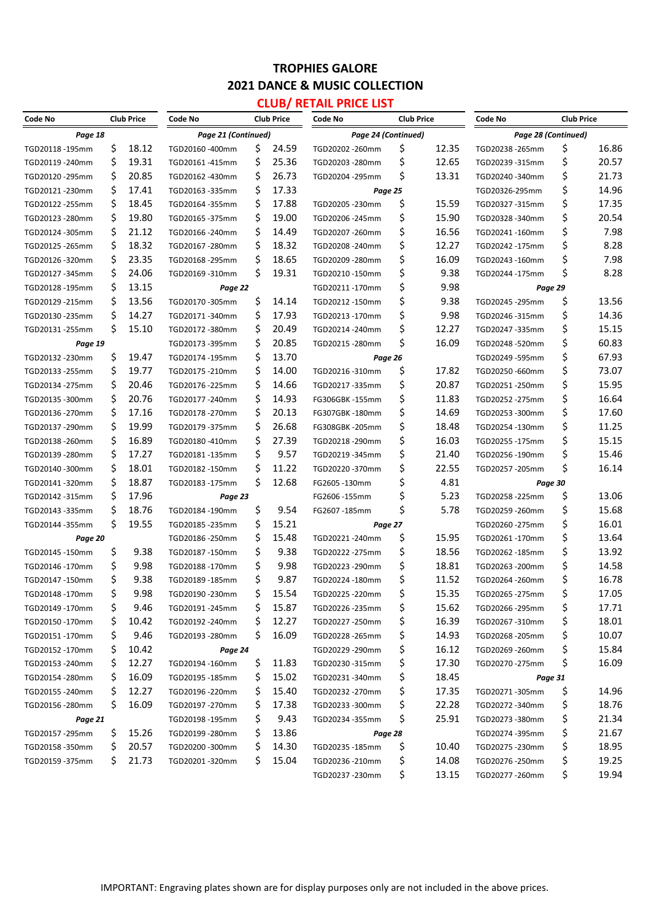## **TROPHIES GALORE 2021 DANCE & MUSIC COLLECTION**

#### **CLUB/ RETAIL PRICE LIST**

| Code No          |                                                       | <b>Club Price</b> | Code No         |          | <b>Club Price</b> | Code No         |          | <b>Club Price</b>   | Code No         | <b>Club Price</b> |                |
|------------------|-------------------------------------------------------|-------------------|-----------------|----------|-------------------|-----------------|----------|---------------------|-----------------|-------------------|----------------|
|                  | Page 18<br>Page 21 (Continued)<br>Page 24 (Continued) |                   |                 |          |                   |                 |          | Page 28 (Continued) |                 |                   |                |
| TGD20118-195mm   | \$                                                    | 18.12             | TGD20160-400mm  | \$       | 24.59             | TGD20202-260mm  | \$       | 12.35               | TGD20238-265mm  | \$                | 16.86          |
| TGD20119-240mm   | \$                                                    | 19.31             | TGD20161-415mm  | \$       | 25.36             | TGD20203 -280mm | \$       | 12.65               | TGD20239-315mm  | \$                | 20.57          |
| TGD20120-295mm   | \$                                                    | 20.85             | TGD20162-430mm  | \$       | 26.73             | TGD20204 -295mm | \$       | 13.31               | TGD20240-340mm  | \$                | 21.73          |
| TGD20121-230mm   | \$                                                    | 17.41             | TGD20163 -335mm | \$       | 17.33             | Page 25         |          |                     | TGD20326-295mm  | \$                | 14.96          |
| TGD20122 - 255mm | \$                                                    | 18.45             | TGD20164 -355mm | \$       | 17.88             | TGD20205 -230mm | \$       | 15.59               | TGD20327-315mm  | \$                | 17.35          |
| TGD20123 - 280mm | \$                                                    | 19.80             | TGD20165-375mm  | \$       | 19.00             | TGD20206-245mm  | \$       | 15.90               | TGD20328-340mm  | \$                | 20.54          |
| TGD20124 -305mm  | \$                                                    | 21.12             | TGD20166-240mm  | \$       | 14.49             | TGD20207-260mm  | \$       | 16.56               | TGD20241-160mm  | \$                | 7.98           |
| TGD20125 - 265mm | \$                                                    | 18.32             | TGD20167-280mm  | \$       | 18.32             | TGD20208-240mm  | \$       | 12.27               | TGD20242 -175mm | \$                | 8.28           |
| TGD20126-320mm   | \$                                                    | 23.35             | TGD20168 -295mm | \$       | 18.65             | TGD20209 -280mm | \$       | 16.09               | TGD20243-160mm  | \$                | 7.98           |
| TGD20127-345mm   | \$                                                    | 24.06             | TGD20169-310mm  | \$       | 19.31             | TGD20210-150mm  | \$       | 9.38                | TGD20244-175mm  | \$                | 8.28           |
| TGD20128-195mm   | \$                                                    | 13.15             | Page 22         |          |                   | TGD20211-170mm  | \$       | 9.98                | Page 29         |                   |                |
| TGD20129 -215mm  | \$                                                    | 13.56             | TGD20170-305mm  | \$       | 14.14             | TGD20212-150mm  | \$       | 9.38                | TGD20245 -295mm | \$                | 13.56          |
| TGD20130 - 235mm | \$                                                    | 14.27             | TGD20171-340mm  | \$       | 17.93             | TGD20213-170mm  | \$       | 9.98                | TGD20246-315mm  | \$                | 14.36          |
| TGD20131-255mm   | \$                                                    | 15.10             | TGD20172-380mm  | \$       | 20.49             | TGD20214-240mm  | \$       | 12.27               | TGD20247-335mm  | \$                | 15.15          |
| Page 19          |                                                       |                   | TGD20173-395mm  | \$       | 20.85             | TGD20215 -280mm | \$       | 16.09               | TGD20248-520mm  | \$                | 60.83          |
| TGD20132 - 230mm | \$                                                    | 19.47             | TGD20174-195mm  | \$       | 13.70             | Page 26         |          |                     | TGD20249-595mm  | \$                | 67.93          |
| TGD20133 - 255mm | \$                                                    | 19.77             | TGD20175-210mm  | \$       | 14.00             | TGD20216-310mm  | \$       | 17.82               | TGD20250-660mm  | \$                | 73.07          |
| TGD20134 - 275mm | \$                                                    | 20.46             | TGD20176-225mm  | \$       | 14.66             | TGD20217-335mm  | \$       | 20.87               | TGD20251-250mm  | \$                | 15.95          |
| TGD20135-300mm   | \$                                                    | 20.76             | TGD20177-240mm  | \$       | 14.93             | FG306GBK-155mm  | \$       | 11.83               | TGD20252 -275mm | \$                | 16.64          |
| TGD20136 -270mm  | \$                                                    | 17.16             | TGD20178-270mm  | \$       | 20.13             | FG307GBK-180mm  | \$       | 14.69               | TGD20253-300mm  | \$                | 17.60          |
| TGD20137 - 290mm | \$                                                    | 19.99             | TGD20179-375mm  | \$       | 26.68             | FG308GBK-205mm  | \$       | 18.48               | TGD20254-130mm  | \$                | 11.25          |
| TGD20138-260mm   | \$                                                    | 16.89             | TGD20180-410mm  | \$       | 27.39             | TGD20218-290mm  | \$       | 16.03               | TGD20255-175mm  | \$                | 15.15          |
| TGD20139 - 280mm | \$                                                    | 17.27             | TGD20181-135mm  | \$       | 9.57              | TGD20219-345mm  | \$       | 21.40               | TGD20256-190mm  | \$                | 15.46          |
| TGD20140-300mm   | \$                                                    | 18.01             | TGD20182-150mm  | \$       | 11.22             | TGD20220-370mm  | \$       | 22.55               | TGD20257-205mm  | \$                | 16.14          |
| TGD20141-320mm   | \$                                                    | 18.87             | TGD20183-175mm  | \$       | 12.68             | FG2605-130mm    | \$       | 4.81                | Page 30         |                   |                |
| TGD20142 -315mm  | \$                                                    | 17.96             | Page 23         |          |                   | FG2606 -155mm   | \$       | 5.23                | TGD20258-225mm  | \$                | 13.06          |
| TGD20143 -335mm  | \$                                                    | 18.76             | TGD20184-190mm  | \$       | 9.54              | FG2607-185mm    | \$       | 5.78                | TGD20259-260mm  | \$                | 15.68          |
| TGD20144 -355mm  | \$                                                    | 19.55             | TGD20185 -235mm | \$       | 15.21             | Page 27         |          |                     | TGD20260-275mm  | \$                | 16.01          |
| Page 20          |                                                       |                   | TGD20186-250mm  | \$       | 15.48             | TGD20221-240mm  | \$       | 15.95               | TGD20261-170mm  | \$                | 13.64          |
| TGD20145 -150mm  | \$                                                    | 9.38              | TGD20187-150mm  | \$       | 9.38              | TGD20222 -275mm | \$       | 18.56               | TGD20262 -185mm | \$                | 13.92          |
| TGD20146-170mm   | \$                                                    | 9.98              | TGD20188-170mm  | \$       | 9.98              | TGD20223-290mm  | \$       | 18.81               | TGD20263 -200mm | \$                | 14.58          |
| TGD20147-150mm   | Ś                                                     | 9.38              | TGD20189-185mm  | \$       | 9.87              | TGD20224-180mm  | \$       | 11.52               | TGD20264-260mm  | \$                | 16.78          |
| TGD20148-170mm   | \$                                                    | 9.98              | TGD20190-230mm  | \$       | 15.54             | TGD20225-220mm  | \$       | 15.35               | TGD20265 -275mm | \$                | 17.05          |
| TGD20149 -170mm  | \$                                                    | 9.46              | TGD20191-245mm  | Ş        | 15.87             | TGD20226-235mm  | \$       | 15.62               | TGD20266-295mm  | \$                | 17.71          |
| TGD20150-170mm   | Ş                                                     | 10.42             | TGD20192 -240mm | \$       | 12.27             | TGD20227-250mm  | \$       | 16.39               | TGD20267-310mm  | \$                | 18.01          |
| TGD20151-170mm   | \$                                                    | 9.46              | TGD20193 -280mm | \$       | 16.09             | TGD20228-265mm  | \$       | 14.93               | TGD20268-205mm  | \$                | 10.07          |
| TGD20152 -170mm  | \$                                                    | 10.42             | Page 24         |          |                   | TGD20229-290mm  | \$       | 16.12               | TGD20269 -260mm | \$                | 15.84          |
| TGD20153 -240mm  | \$                                                    | 12.27             | TGD20194-160mm  | Ş        | 11.83             | TGD20230-315mm  | \$       | 17.30               | TGD20270 -275mm | \$                | 16.09          |
| TGD20154 -280mm  | Ş                                                     | 16.09             | TGD20195 -185mm | Ş        | 15.02             | TGD20231-340mm  | \$       | 18.45               | Page 31         |                   |                |
| TGD20155 - 240mm | \$                                                    | 12.27             | TGD20196 -220mm | \$       | 15.40             | TGD20232 -270mm | \$       | 17.35               | TGD20271-305mm  | Ş                 | 14.96          |
|                  | \$                                                    | 16.09             | TGD20197-270mm  | Ş        | 17.38             | TGD20233-300mm  | \$       | 22.28               | TGD20272-340mm  |                   | 18.76          |
| TGD20156-280mm   |                                                       |                   | TGD20198-195mm  | \$       | 9.43              | TGD20234-355mm  | \$       | 25.91               | TGD20273-380mm  | Ş<br>\$           | 21.34          |
| Page 21          |                                                       | 15.26             |                 | Ş        | 13.86             |                 |          |                     |                 | \$                | 21.67          |
| TGD20157-295mm   | Ş                                                     | 20.57             | TGD20199 -280mm |          |                   | Page 28         |          | 10.40               | TGD20274-395mm  | \$                |                |
| TGD20158-350mm   | Ş<br>\$                                               |                   | TGD20200-300mm  | \$<br>\$ | 14.30<br>15.04    | TGD20235-185mm  | \$       |                     | TGD20275 -230mm |                   | 18.95          |
| TGD20159 -375mm  |                                                       | 21.73             | TGD20201-320mm  |          |                   | TGD20236-210mm  | \$<br>\$ | 14.08               | TGD20276-250mm  | \$<br>\$          | 19.25<br>19.94 |
|                  |                                                       |                   |                 |          |                   | TGD20237-230mm  |          | 13.15               | TGD20277 -260mm |                   |                |